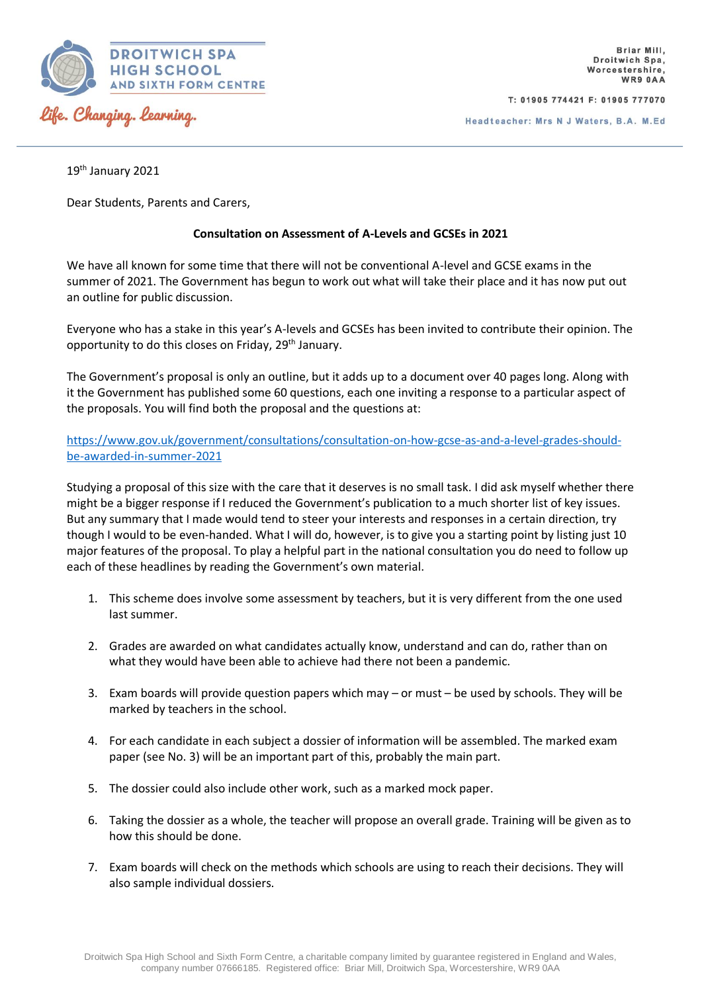

T: 01905 774421 F: 01905 777070

Headteacher: Mrs N J Waters, B.A. M.Ed

19th January 2021

Dear Students, Parents and Carers,

## **Consultation on Assessment of A-Levels and GCSEs in 2021**

We have all known for some time that there will not be conventional A-level and GCSE exams in the summer of 2021. The Government has begun to work out what will take their place and it has now put out an outline for public discussion.

Everyone who has a stake in this year's A-levels and GCSEs has been invited to contribute their opinion. The opportunity to do this closes on Friday, 29<sup>th</sup> January.

The Government's proposal is only an outline, but it adds up to a document over 40 pages long. Along with it the Government has published some 60 questions, each one inviting a response to a particular aspect of the proposals. You will find both the proposal and the questions at:

[https://www.gov.uk/government/consultations/consultation-on-how-gcse-as-and-a-level-grades-should](https://www.gov.uk/government/consultations/consultation-on-how-gcse-as-and-a-level-grades-should-be-awarded-in-summer-2021)[be-awarded-in-summer-2021](https://www.gov.uk/government/consultations/consultation-on-how-gcse-as-and-a-level-grades-should-be-awarded-in-summer-2021)

Studying a proposal of this size with the care that it deserves is no small task. I did ask myself whether there might be a bigger response if I reduced the Government's publication to a much shorter list of key issues. But any summary that I made would tend to steer your interests and responses in a certain direction, try though I would to be even-handed. What I will do, however, is to give you a starting point by listing just 10 major features of the proposal. To play a helpful part in the national consultation you do need to follow up each of these headlines by reading the Government's own material.

- 1. This scheme does involve some assessment by teachers, but it is very different from the one used last summer.
- 2. Grades are awarded on what candidates actually know, understand and can do, rather than on what they would have been able to achieve had there not been a pandemic.
- 3. Exam boards will provide question papers which may or must be used by schools. They will be marked by teachers in the school.
- 4. For each candidate in each subject a dossier of information will be assembled. The marked exam paper (see No. 3) will be an important part of this, probably the main part.
- 5. The dossier could also include other work, such as a marked mock paper.
- 6. Taking the dossier as a whole, the teacher will propose an overall grade. Training will be given as to how this should be done.
- 7. Exam boards will check on the methods which schools are using to reach their decisions. They will also sample individual dossiers.